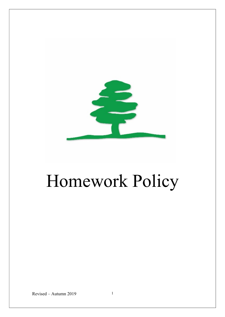

# Homework Policy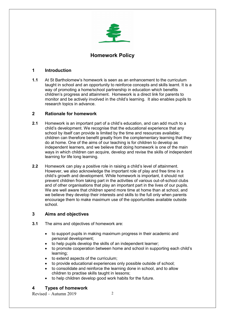

# Homework Policy

# 1 Introduction

1.1 At St Bartholomew's homework is seen as an enhancement to the curriculum taught in school and an opportunity to reinforce concepts and skills learnt. It is a way of promoting a home/school partnership in education which benefits children's progress and attainment. Homework is a direct link for parents to monitor and be actively involved in the child's learning. It also enables pupils to research topics in advance.

# 2 Rationale for homework

- 2.1 Homework is an important part of a child's education, and can add much to a child's development. We recognise that the educational experience that any school by itself can provide is limited by the time and resources available; children can therefore benefit greatly from the complementary learning that they do at home. One of the aims of our teaching is for children to develop as independent learners, and we believe that doing homework is one of the main ways in which children can acquire, develop and revise the skills of independent learning for life long learning.
- 2.2 Homework can play a positive role in raising a child's level of attainment. However, we also acknowledge the important role of play and free time in a child's growth and development. While homework is important, it should not prevent children from taking part in the activities of various out-of-school clubs and of other organisations that play an important part in the lives of our pupils. We are well aware that children spend more time at home than at school, and we believe they develop their interests and skills to the full only when parents encourage them to make maximum use of the opportunities available outside school.

# 3 Aims and objectives

- 3.1 The aims and objectives of homework are:
	- to support pupils in making maximum progress in their academic and personal development;
	- to help pupils develop the skills of an independent learner;
	- to promote cooperation between home and school in supporting each child's learning;
	- to extend aspects of the curriculum:
	- to provide educational experiences only possible outside of school;
	- to consolidate and reinforce the learning done in school, and to allow children to practise skills taught in lessons;
	- to help children develop good work habits for the future.

# 4 Types of homework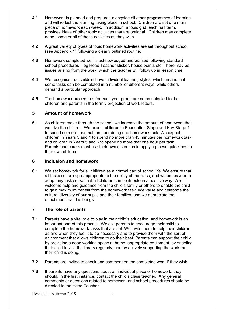- 4.1 Homework is planned and prepared alongside all other programmes of learning and will reflect the learning taking place in school. Children are set one main piece of homework each week. In addition, a topic grid, each half term, provides ideas of other topic activities that are optional. Children may complete none, some or all of these activities as they wish.
- 4.2 A great variety of types of topic homework activities are set throughout school. (see Appendix 1) following a clearly outlined routine.
- 4.3 Homework completed well is acknowledged and praised following standard school procedures – eg Head Teacher sticker, house points etc. There may be issues arising from the work, which the teacher will follow up in lesson time.
- 4.4 We recognise that children have individual learning styles, which means that some tasks can be completed in a number of different ways, while others demand a particular approach.
- 4.5 The homework procedures for each year group are communicated to the children and parents in the termly projection of work letters.

# 5 Amount of homework

5.1 As children move through the school, we increase the amount of homework that we give the children. We expect children in Foundation Stage and Key Stage 1 to spend no more than half an hour doing one homework task. We expect children in Years 3 and 4 to spend no more than 45 minutes per homework task, and children in Years 5 and 6 to spend no more that one hour per task. Parents and carers must use their own discretion in applying these guidelines to their own children.

# 6 Inclusion and homework

6.1 We set homework for all children as a normal part of school life. We ensure that all tasks set are age-appropriate to the ability of the class, and we endeavour to adapt any task set so that all children can contribute in a positive way. We welcome help and guidance from the child's family or others to enable the child to gain maximum benefit from the homework task. We value and celebrate the cultural diversity of our pupils and their families, and we appreciate the enrichment that this brings.

# 7 The role of parents

- 7.1 Parents have a vital role to play in their child's education, and homework is an important part of this process. We ask parents to encourage their child to complete the homework tasks that are set. We invite them to help their children as and when they feel it to be necessary and to provide them with the sort of environment that allows children to do their best. Parents can support their child by providing a good working space at home, appropriate equipment, by enabling their child to visit the library regularly, and by actively supporting the work that their child is doing.
- 7.2 Parents are invited to check and comment on the completed work if they wish.
- 7.3 If parents have any questions about an individual piece of homework, they should, in the first instance, contact the child's class teacher. Any general comments or questions related to homework and school procedures should be directed to the Head Teacher.